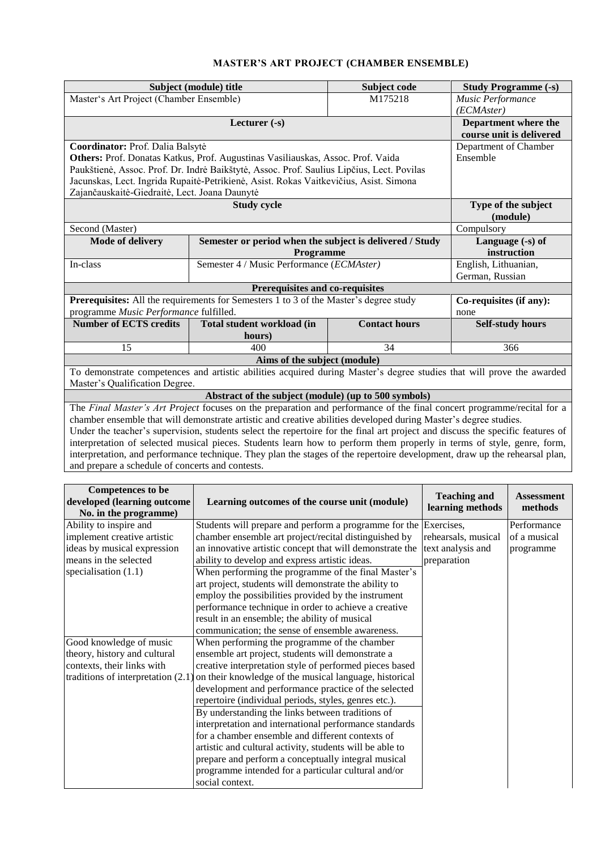## **MASTER'S ART PROJECT (CHAMBER ENSEMBLE)**

|                                                                                                                                | Subject (module) title                                                                | Subject code                              | <b>Study Programme (-s)</b> |                                     |  |  |  |  |
|--------------------------------------------------------------------------------------------------------------------------------|---------------------------------------------------------------------------------------|-------------------------------------------|-----------------------------|-------------------------------------|--|--|--|--|
| Master's Art Project (Chamber Ensemble)                                                                                        |                                                                                       | M175218                                   |                             | Music Performance                   |  |  |  |  |
|                                                                                                                                |                                                                                       | (ECMAster)                                |                             |                                     |  |  |  |  |
|                                                                                                                                |                                                                                       | Department where the                      |                             |                                     |  |  |  |  |
|                                                                                                                                |                                                                                       | course unit is delivered                  |                             |                                     |  |  |  |  |
| Coordinator: Prof. Dalia Balsytė                                                                                               |                                                                                       | Department of Chamber                     |                             |                                     |  |  |  |  |
| Others: Prof. Donatas Katkus, Prof. Augustinas Vasiliauskas, Assoc. Prof. Vaida                                                |                                                                                       | Ensemble                                  |                             |                                     |  |  |  |  |
| Paukštienė, Assoc. Prof. Dr. Indrė Baikštytė, Assoc. Prof. Saulius Lipčius, Lect. Povilas                                      |                                                                                       |                                           |                             |                                     |  |  |  |  |
| Jacunskas, Lect. Ingrida Rupaitė-Petrikienė, Asist. Rokas Vaitkevičius, Asist. Simona                                          |                                                                                       |                                           |                             |                                     |  |  |  |  |
| Zajančauskaitė-Giedraitė, Lect. Joana Daunytė                                                                                  |                                                                                       |                                           |                             |                                     |  |  |  |  |
|                                                                                                                                | <b>Study cycle</b>                                                                    |                                           |                             | Type of the subject                 |  |  |  |  |
|                                                                                                                                |                                                                                       |                                           |                             | (module)                            |  |  |  |  |
| Second (Master)                                                                                                                |                                                                                       |                                           |                             | Compulsory                          |  |  |  |  |
| <b>Mode of delivery</b>                                                                                                        | Semester or period when the subject is delivered / Study                              |                                           |                             | Language (-s) of                    |  |  |  |  |
|                                                                                                                                | Programme                                                                             |                                           |                             | instruction<br>English, Lithuanian, |  |  |  |  |
| In-class                                                                                                                       |                                                                                       | Semester 4 / Music Performance (ECMAster) |                             |                                     |  |  |  |  |
|                                                                                                                                |                                                                                       |                                           |                             | German, Russian                     |  |  |  |  |
|                                                                                                                                | Prerequisites and co-requisites                                                       |                                           |                             |                                     |  |  |  |  |
|                                                                                                                                | Prerequisites: All the requirements for Semesters 1 to 3 of the Master's degree study |                                           |                             | Co-requisites (if any):             |  |  |  |  |
| programme Music Performance fulfilled.                                                                                         |                                                                                       | <b>Contact hours</b>                      | none                        |                                     |  |  |  |  |
| <b>Number of ECTS credits</b>                                                                                                  | Total student workload (in                                                            |                                           | <b>Self-study hours</b>     |                                     |  |  |  |  |
|                                                                                                                                | hours)                                                                                |                                           |                             |                                     |  |  |  |  |
| 15                                                                                                                             | 400                                                                                   | 34                                        |                             | 366                                 |  |  |  |  |
|                                                                                                                                | Aims of the subject (module)                                                          |                                           |                             |                                     |  |  |  |  |
| To demonstrate competences and artistic abilities acquired during Master's degree studies that will prove the awarded          |                                                                                       |                                           |                             |                                     |  |  |  |  |
| Master's Qualification Degree.                                                                                                 |                                                                                       |                                           |                             |                                     |  |  |  |  |
| Abstract of the subject (module) (up to 500 symbols)                                                                           |                                                                                       |                                           |                             |                                     |  |  |  |  |
| The Final Master's Art Project focuses on the preparation and performance of the final concert programme/recital for a         |                                                                                       |                                           |                             |                                     |  |  |  |  |
| chamber ensemble that will demonstrate artistic and creative abilities developed during Master's degree studies.               |                                                                                       |                                           |                             |                                     |  |  |  |  |
| Under the teacher's supervision, students select the repertoire for the final art project and discuss the specific features of |                                                                                       |                                           |                             |                                     |  |  |  |  |
| interpretation of selected musical pieces. Students learn how to perform them properly in terms of style, genre, form,         |                                                                                       |                                           |                             |                                     |  |  |  |  |
| interpretation, and performance technique. They plan the stages of the repertoire development, draw up the rehearsal plan,     |                                                                                       |                                           |                             |                                     |  |  |  |  |
| and prepare a schedule of concerts and contests.                                                                               |                                                                                       |                                           |                             |                                     |  |  |  |  |
|                                                                                                                                |                                                                                       |                                           |                             |                                     |  |  |  |  |
| <b>Competences</b> to be                                                                                                       |                                                                                       |                                           | $T$ and $T$ and $T$         | $\Delta$                            |  |  |  |  |

| Competences to be<br>developed (learning outcome<br>No. in the programme) | Learning outcomes of the course unit (module)            | <b>Teaching and</b><br>learning methods | <b>Assessment</b><br>methods |
|---------------------------------------------------------------------------|----------------------------------------------------------|-----------------------------------------|------------------------------|
| Ability to inspire and                                                    | Students will prepare and perform a programme for the    | Exercises,                              | Performance                  |
| implement creative artistic                                               | chamber ensemble art project/recital distinguished by    | rehearsals, musical                     | of a musical                 |
| ideas by musical expression                                               | an innovative artistic concept that will demonstrate the | text analysis and                       | programme                    |
| means in the selected                                                     | ability to develop and express artistic ideas.           | preparation                             |                              |
| specialisation $(1.1)$                                                    | When performing the programme of the final Master's      |                                         |                              |
|                                                                           | art project, students will demonstrate the ability to    |                                         |                              |
|                                                                           | employ the possibilities provided by the instrument      |                                         |                              |
|                                                                           | performance technique in order to achieve a creative     |                                         |                              |
|                                                                           | result in an ensemble; the ability of musical            |                                         |                              |
|                                                                           | communication; the sense of ensemble awareness.          |                                         |                              |
| Good knowledge of music                                                   | When performing the programme of the chamber             |                                         |                              |
| theory, history and cultural                                              | ensemble art project, students will demonstrate a        |                                         |                              |
| contexts, their links with                                                | creative interpretation style of performed pieces based  |                                         |                              |
| traditions of interpretation $(2.1)$                                      | on their knowledge of the musical language, historical   |                                         |                              |
|                                                                           | development and performance practice of the selected     |                                         |                              |
|                                                                           | repertoire (individual periods, styles, genres etc.).    |                                         |                              |
|                                                                           | By understanding the links between traditions of         |                                         |                              |
|                                                                           | interpretation and international performance standards   |                                         |                              |
|                                                                           | for a chamber ensemble and different contexts of         |                                         |                              |
|                                                                           | artistic and cultural activity, students will be able to |                                         |                              |
|                                                                           | prepare and perform a conceptually integral musical      |                                         |                              |
|                                                                           | programme intended for a particular cultural and/or      |                                         |                              |
|                                                                           | social context.                                          |                                         |                              |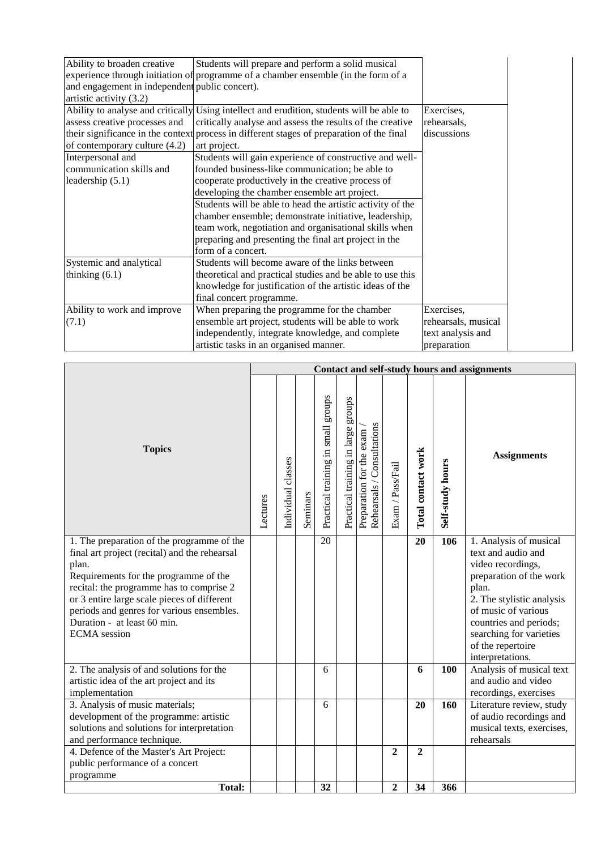| Ability to broaden creative                                                               | Students will prepare and perform a solid musical          |                     |  |  |  |  |  |
|-------------------------------------------------------------------------------------------|------------------------------------------------------------|---------------------|--|--|--|--|--|
| experience through initiation of programme of a chamber ensemble (in the form of a        |                                                            |                     |  |  |  |  |  |
| and engagement in independent public concert).                                            |                                                            |                     |  |  |  |  |  |
| artistic activity (3.2)                                                                   |                                                            |                     |  |  |  |  |  |
| Ability to analyse and critically                                                         | Using intellect and erudition, students will be able to    | Exercises,          |  |  |  |  |  |
| assess creative processes and                                                             | critically analyse and assess the results of the creative  | rehearsals,         |  |  |  |  |  |
| their significance in the context process in different stages of preparation of the final | discussions                                                |                     |  |  |  |  |  |
| of contemporary culture (4.2)                                                             | art project.                                               |                     |  |  |  |  |  |
| Interpersonal and                                                                         | Students will gain experience of constructive and well-    |                     |  |  |  |  |  |
| communication skills and                                                                  | founded business-like communication; be able to            |                     |  |  |  |  |  |
| leadership $(5.1)$                                                                        | cooperate productively in the creative process of          |                     |  |  |  |  |  |
|                                                                                           | developing the chamber ensemble art project.               |                     |  |  |  |  |  |
|                                                                                           | Students will be able to head the artistic activity of the |                     |  |  |  |  |  |
|                                                                                           | chamber ensemble; demonstrate initiative, leadership,      |                     |  |  |  |  |  |
|                                                                                           | team work, negotiation and organisational skills when      |                     |  |  |  |  |  |
|                                                                                           | preparing and presenting the final art project in the      |                     |  |  |  |  |  |
|                                                                                           | form of a concert.                                         |                     |  |  |  |  |  |
| Systemic and analytical                                                                   | Students will become aware of the links between            |                     |  |  |  |  |  |
| thinking $(6.1)$                                                                          | theoretical and practical studies and be able to use this  |                     |  |  |  |  |  |
|                                                                                           | knowledge for justification of the artistic ideas of the   |                     |  |  |  |  |  |
|                                                                                           | final concert programme.                                   |                     |  |  |  |  |  |
| Ability to work and improve                                                               | When preparing the programme for the chamber               | Exercises,          |  |  |  |  |  |
| (7.1)                                                                                     | ensemble art project, students will be able to work        | rehearsals, musical |  |  |  |  |  |
|                                                                                           | independently, integrate knowledge, and complete           | text analysis and   |  |  |  |  |  |
|                                                                                           | artistic tasks in an organised manner.                     | preparation         |  |  |  |  |  |

|                                                                                                                                                                                                                                                                                                                                             | Contact and self-study hours and assignments |                    |          |                                    |                                    |                                                        |                  |                    |                  |                                                                                                                                                                                                                                                         |
|---------------------------------------------------------------------------------------------------------------------------------------------------------------------------------------------------------------------------------------------------------------------------------------------------------------------------------------------|----------------------------------------------|--------------------|----------|------------------------------------|------------------------------------|--------------------------------------------------------|------------------|--------------------|------------------|---------------------------------------------------------------------------------------------------------------------------------------------------------------------------------------------------------------------------------------------------------|
| <b>Topics</b>                                                                                                                                                                                                                                                                                                                               | Lectures                                     | Individual classes | Seminars | Practical training in small groups | Practical training in large groups | Rehearsals / Consultations<br>Preparation for the exam | Exam / Pass/Fail | Total contact work | Self-study hours | <b>Assignments</b>                                                                                                                                                                                                                                      |
| 1. The preparation of the programme of the<br>final art project (recital) and the rehearsal<br>plan.<br>Requirements for the programme of the<br>recital: the programme has to comprise 2<br>or 3 entire large scale pieces of different<br>periods and genres for various ensembles.<br>Duration - at least 60 min.<br><b>ECMA</b> session |                                              |                    |          | 20                                 |                                    |                                                        |                  | 20                 | 106              | 1. Analysis of musical<br>text and audio and<br>video recordings,<br>preparation of the work<br>plan.<br>2. The stylistic analysis<br>of music of various<br>countries and periods;<br>searching for varieties<br>of the repertoire<br>interpretations. |
| 2. The analysis of and solutions for the<br>artistic idea of the art project and its<br>implementation                                                                                                                                                                                                                                      |                                              |                    |          | 6                                  |                                    |                                                        |                  | 6                  | 100              | Analysis of musical text<br>and audio and video<br>recordings, exercises                                                                                                                                                                                |
| 3. Analysis of music materials;<br>development of the programme: artistic<br>solutions and solutions for interpretation<br>and performance technique.                                                                                                                                                                                       |                                              |                    |          | 6                                  |                                    |                                                        |                  | 20                 | 160              | Literature review, study<br>of audio recordings and<br>musical texts, exercises,<br>rehearsals                                                                                                                                                          |
| 4. Defence of the Master's Art Project:<br>public performance of a concert<br>programme                                                                                                                                                                                                                                                     |                                              |                    |          |                                    |                                    |                                                        | $\overline{2}$   | $\overline{2}$     |                  |                                                                                                                                                                                                                                                         |
| <b>Total:</b>                                                                                                                                                                                                                                                                                                                               |                                              |                    |          | 32                                 |                                    |                                                        | $\boldsymbol{2}$ | 34                 | 366              |                                                                                                                                                                                                                                                         |